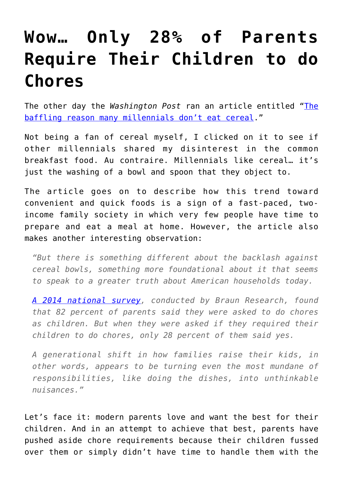## **[Wow… Only 28% of Parents](https://intellectualtakeout.org/2016/02/wow-only-28-of-parents-require-their-children-to-do-chores/) [Require Their Children to do](https://intellectualtakeout.org/2016/02/wow-only-28-of-parents-require-their-children-to-do-chores/) [Chores](https://intellectualtakeout.org/2016/02/wow-only-28-of-parents-require-their-children-to-do-chores/)**

The other day the *Washington Post* ran an article entitled ["The](https://www.washingtonpost.com/news/wonk/wp/2016/02/23/this-is-the-height-of-laziness/?tid=sm_fb) [baffling reason many millennials don't eat cereal.](https://www.washingtonpost.com/news/wonk/wp/2016/02/23/this-is-the-height-of-laziness/?tid=sm_fb)"

Not being a fan of cereal myself, I clicked on it to see if other millennials shared my disinterest in the common breakfast food. Au contraire. Millennials like cereal… it's just the washing of a bowl and spoon that they object to.

The article goes on to describe how this trend toward convenient and quick foods is a sign of a fast-paced, twoincome family society in which very few people have time to prepare and eat a meal at home. However, the article also makes another interesting observation:

*"But there is something different about the backlash against cereal bowls, something more foundational about it that seems to speak to a greater truth about American households today.*

*[A 2014 national survey,](http://www.chicagotribune.com/lifestyles/ct-kids-chores-vanishing-balancing-20141013-column.html) conducted by Braun Research, found that 82 percent of parents said they were asked to do chores as children. But when they were asked if they required their children to do chores, only 28 percent of them said yes.*

*A generational shift in how families raise their kids, in other words, appears to be turning even the most mundane of responsibilities, like doing the dishes, into unthinkable nuisances."*

Let's face it: modern parents love and want the best for their children. And in an attempt to achieve that best, parents have pushed aside chore requirements because their children fussed over them or simply didn't have time to handle them with the